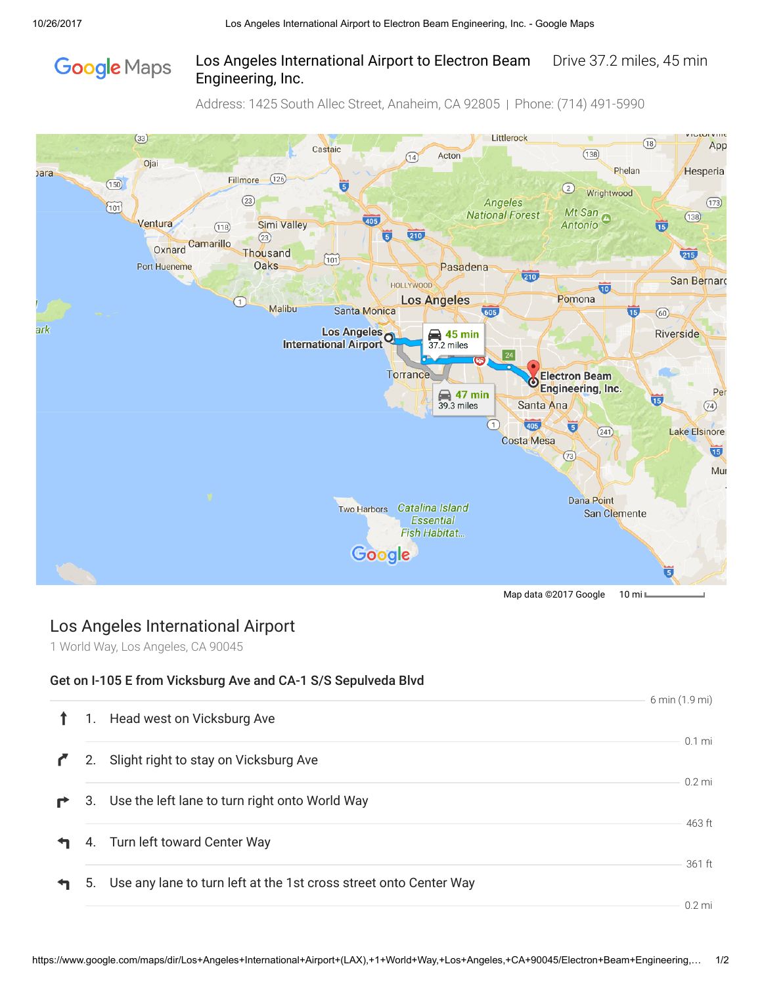# **Google** Maps

#### Los Angeles International Airport to Electron Beam Drive 37.2 miles, 45 min Engineering, Inc.

Address: 1425 South Allec Street, Anaheim, CA 92805 | Phone: (714) 491-5990



## Los Angeles International Airport

1 World Way, Los Angeles, CA 90045

#### Get on I-105 E from Vicksburg Ave and CA-1 S/S Sepulveda Blvd

|    |                                                                   | 6 min (1.9 mi)   |
|----|-------------------------------------------------------------------|------------------|
| 1. | Head west on Vicksburg Ave                                        |                  |
| 2. | Slight right to stay on Vicksburg Ave                             | $0.1$ mi         |
|    | 3. Use the left lane to turn right onto World Way                 | $0.2$ mi         |
|    | 4. Turn left toward Center Way                                    | 463 ft<br>361 ft |
| 5. | Use any lane to turn left at the 1st cross street onto Center Way | $0.2$ mi         |
|    |                                                                   |                  |